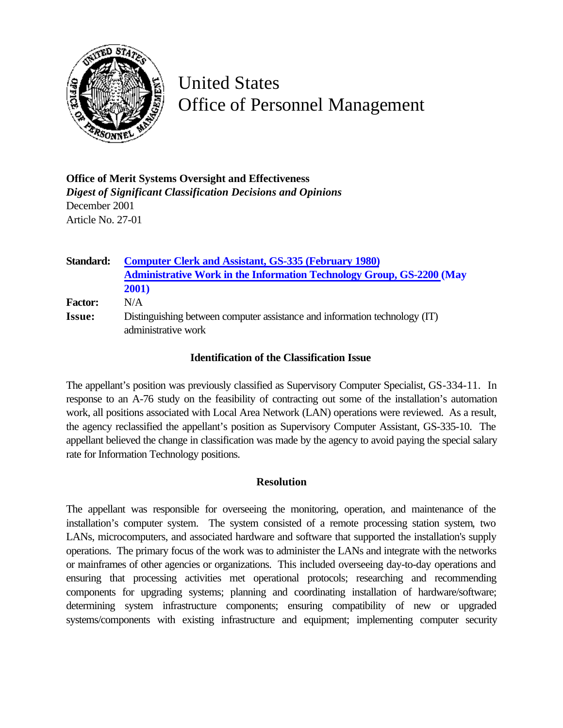

## United States Office of Personnel Management

**Office of Merit Systems Oversight and Effectiveness** *Digest of Significant Classification Decisions and Opinions* December 2001 Article No. 27-01

| Standard:      | <b>Computer Clerk and Assistant, GS-335 (February 1980)</b>                                       |
|----------------|---------------------------------------------------------------------------------------------------|
|                | <b>Administrative Work in the Information Technology Group, GS-2200 (May</b>                      |
|                | <b>2001</b> )                                                                                     |
| <b>Factor:</b> | N/A                                                                                               |
| <b>Issue:</b>  | Distinguishing between computer assistance and information technology (IT)<br>administrative work |

## **Identification of the Classification Issue**

The appellant's position was previously classified as Supervisory Computer Specialist, GS-334-11. In response to an A-76 study on the feasibility of contracting out some of the installation's automation work, all positions associated with Local Area Network (LAN) operations were reviewed. As a result, the agency reclassified the appellant's position as Supervisory Computer Assistant, GS-335-10. The appellant believed the change in classification was made by the agency to avoid paying the special salary rate for Information Technology positions.

## **Resolution**

The appellant was responsible for overseeing the monitoring, operation, and maintenance of the installation's computer system. The system consisted of a remote processing station system, two LANs, microcomputers, and associated hardware and software that supported the installation's supply operations. The primary focus of the work was to administer the LANs and integrate with the networks or mainframes of other agencies or organizations. This included overseeing day-to-day operations and ensuring that processing activities met operational protocols; researching and recommending components for upgrading systems; planning and coordinating installation of hardware/software; determining system infrastructure components; ensuring compatibility of new or upgraded systems/components with existing infrastructure and equipment; implementing computer security